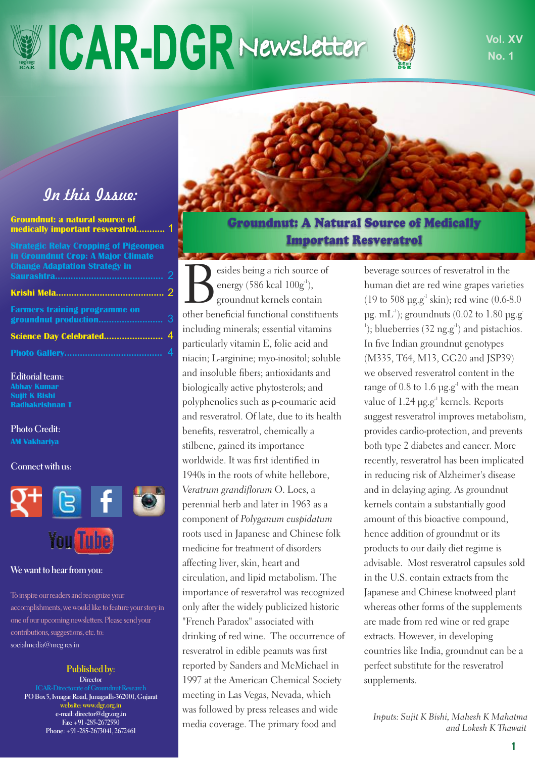# **ICAR-DGRNewsletter U Vol. XV**



**No. 1**

## *In this Issue:*

| <b>Groundnut: a natural source of</b><br>medically important resveratrol 1                                                 |   |
|----------------------------------------------------------------------------------------------------------------------------|---|
| <b>Strategic Relay Cropping of Pigeonpea</b><br>in Groundnut Crop: A Major Climate<br><b>Change Adaptation Strategy in</b> |   |
|                                                                                                                            | 2 |
|                                                                                                                            |   |
| <b>Farmers training programme on</b><br>groundnut production                                                               | 3 |
|                                                                                                                            |   |

**Photo Gallery......................................**

**Editorial team: Abhay Kumar Sujit K Bishi Radhakrishnan T**

**Photo Credit: AM Vakhariya**

**Connect with us:**



#### **We want to hear from you:**

To inspire our readers and recognize your accomplishments, we would like to feature your story in one of our upcoming newsletters. Please send your contributions, suggestions, etc. to: socialmedia@nrcg.res.in

#### **Published by:**

**Director ICAR-Directorate of Groundnut Res PO Box 5, Ivnagar Road, Junagadh-362001, Gujarat website: www.dgr.org.in e-mail: director@dgr.org.in Fax: +91 -285-2672550 Phone: +91 -285-2673041, 2672461**

**Groundnut: A Natural Source of Medically Important Resveratrol** 

esides being a rich source of energy (586 kcal  $100g<sup>-1</sup>$ ), groundnut kernels contain other beneficial functional constituents including minerals; essential vitamins particularly vitamin E, folic acid and niacin; L-arginine; myo-inositol; soluble and insoluble fibers; antioxidants and biologically active phytosterols; and polyphenolics such as p-coumaric acid and resveratrol. Of late, due to its health benefits, resveratrol, chemically a stilbene, gained its importance worldwide. It was first identified in 1940s in the roots of white hellebore, *Veratrum grandiflorum O. Loes, a* perennial herb and later in 1963 as a component of *Polyganum cuspidatum* roots used in Japanese and Chinese folk medicine for treatment of disorders affecting liver, skin, heart and circulation, and lipid metabolism. The importance of resveratrol was recognized only after the widely publicized historic "French Paradox" associated with drinking of red wine. The occurrence of resveratrol in edible peanuts was first reported by Sanders and McMichael in 1997 at the American Chemical Society meeting in Las Vegas, Nevada, which was followed by press releases and wide media coverage. The primary food and

beverage sources of resveratrol in the human diet are red wine grapes varieties  $(19 \text{ to } 508 \text{ µg.g}^{-1} \text{ skin})$ ; red wine  $(0.6-8.0)$  $\mu$ g. mL<sup>-1</sup>); groundnuts (0.02 to 1.80  $\mu$ g.g <sup>1</sup>); blueberries (32 ng.g<sup>-1</sup>) and pistachios. In five Indian groundnut genotypes (M335, T64, M13, GG20 and JSP39) we observed resveratrol content in the range of 0.8 to 1.6  $\mu$ g.g<sup>-1</sup> with the mean value of 1.24  $\mu$ g.g<sup>-1</sup> kernels. Reports suggest resveratrol improves metabolism, provides cardio-protection, and prevents both type 2 diabetes and cancer. More recently, resveratrol has been implicated in reducing risk of Alzheimer's disease and in delaying aging. As groundnut kernels contain a substantially good amount of this bioactive compound, hence addition of groundnut or its products to our daily diet regime is advisable. Most resveratrol capsules sold in the U.S. contain extracts from the Japanese and Chinese knotweed plant whereas other forms of the supplements are made from red wine or red grape extracts. However, in developing countries like India, groundnut can be a perfect substitute for the resveratrol supplements.

*Inputs: Sujit K Bishi, Mahesh K Mahatma and Lokesh K Thawait*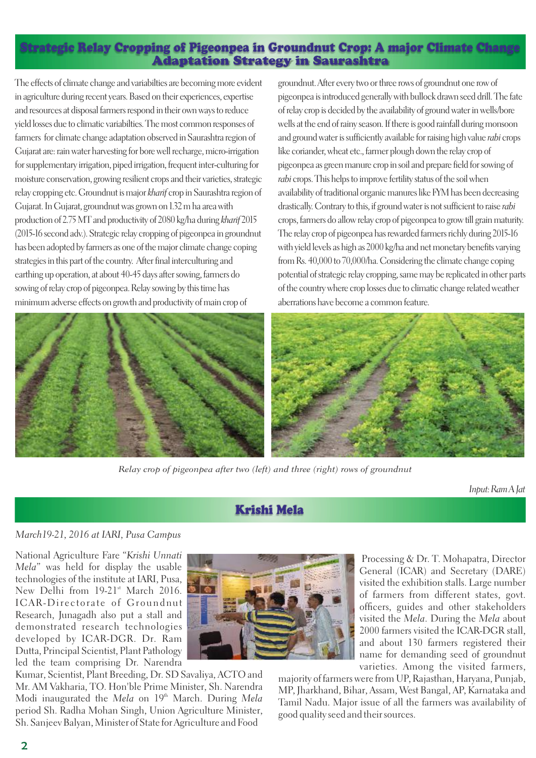### **Adaptation Strategy in Saurashtra Strategic Relay Cropping of Pigeonpea in Groundnut Crop: A major Climate Change**

The effects of climate change and variabilties are becoming more evident in agriculture during recent years. Based on their experiences, expertise and resources at disposal farmers respond in their own ways to reduce yield losses due to climatic variabilties. The most common responses of farmers for climate change adaptation observed in Saurashtra region of Gujarat are: rain water harvesting for bore well recharge, micro-irrigation for supplementary irrigation, piped irrigation, frequent inter-culturing for moisture conservation, growing resilient crops and their varieties, strategic relay cropping etc. Groundnut is major *kharif* crop in Saurashtra region of Gujarat. In Gujarat, groundnut was grown on 1.32 m ha area with production of 2.75 MT and productivity of 2080 kg/ha during *kharif* 2015 (2015-16 second adv.). Strategic relay cropping of pigeonpea in groundnut has been adopted by farmers as one of the major climate change coping strategies in this part of the country. After final interculturing and earthing up operation, at about 40-45 days after sowing, farmers do sowing of relay crop of pigeonpea. Relay sowing by this time has minimum adverse effects on growth and productivity of main crop of





*Relay crop of pigeonpea after two (left) and three (right) rows of groundnut*

*Input: Ram A Jat*

## **Krishi Mela**

#### *March19-21, 2016 at IARI, Pusa Campus*

National Agriculture Fare *Krishi Unnati Mela*" was held for display the usable technologies of the institute at IARI, Pusa, New Delhi from 19-21st March 2016. ICAR-Directorate of Groundnut Research, Junagadh also put a stall and demonstrated research technologies developed by ICAR-DGR. Dr. Ram Dutta, Principal Scientist, Plant Pathology led the team comprising Dr. Narendra



Kumar, Scientist, Plant Breeding, Dr. SD Savaliya, ACTO and Mr. AM Vakharia, TO. Hon'ble Prime Minister, Sh. Narendra Modi inaugurated the *Mela* on 19<sup>th</sup> March. During *Mela* period Sh. Radha Mohan Singh, Union Agriculture Minister, Sh. Sanjeev Balyan, Minister of State for Agriculture and Food

Processing & Dr. T. Mohapatra, Director General (ICAR) and Secretary (DARE) visited the exhibition stalls. Large number of farmers from different states, govt. officers, guides and other stakeholders visited the *Mela*. During the *Mela* about 2000 farmers visited the ICAR-DGR stall, and about 130 farmers registered their name for demanding seed of groundnut varieties. Among the visited farmers,

majority of farmers were from UP, Rajasthan, Haryana, Punjab, MP, Jharkhand, Bihar, Assam, West Bangal, AP, Karnataka and Tamil Nadu. Major issue of all the farmers was availability of good quality seed and their sources.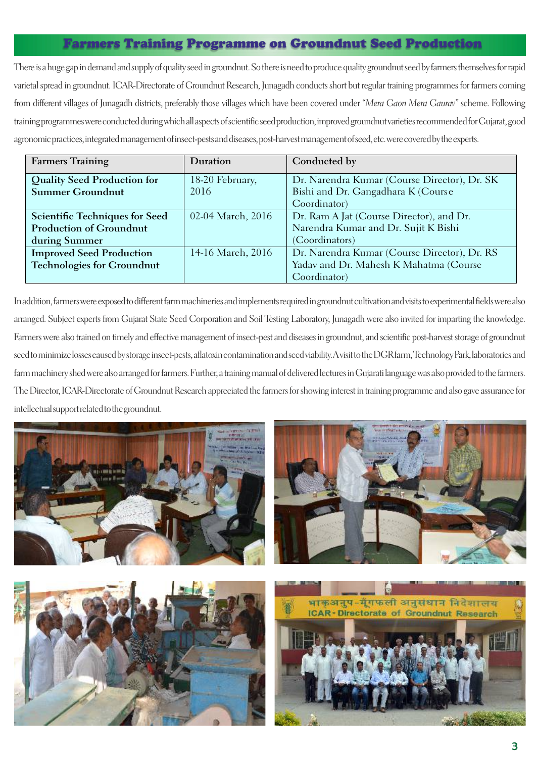## **Farmers Training Programme on Groundnut Seed Production**

There is a huge gap in demand and supply of quality seed in groundnut. So there is need to produce quality groundnut seed by farmers themselves for rapid varietal spread in groundnut. ICAR-Directorate of Groundnut Research, Junagadh conducts short but regular training programmes for farmers coming from different villages of Junagadh districts, preferably those villages which have been covered under *Mera Gaon Mera Gaurav* scheme. Following training programmes were conducted during which all aspects of scientic seed production, improved groundnut varieties recommended for Gujarat, good agronomic practices, integrated management of insect-pests and diseases, post-harvest management of seed, etc. were covered by the experts.

| <b>Farmers Training</b>            | Duration          | Conducted by                                 |
|------------------------------------|-------------------|----------------------------------------------|
| <b>Quality Seed Production for</b> | 18-20 February,   | Dr. Narendra Kumar (Course Director), Dr. SK |
| <b>Summer Groundnut</b>            | 2016              | Bishi and Dr. Gangadhara K (Course           |
|                                    |                   | Coordinator)                                 |
| Scientific Techniques for Seed     | 02-04 March, 2016 | Dr. Ram A Jat (Course Director), and Dr.     |
| <b>Production of Groundnut</b>     |                   | Narendra Kumar and Dr. Sujit K Bishi         |
| during Summer                      |                   | (Coordinators)                               |
| <b>Improved Seed Production</b>    | 14-16 March, 2016 | Dr. Narendra Kumar (Course Director), Dr. RS |
| <b>Technologies for Groundnut</b>  |                   | Yadav and Dr. Mahesh K Mahatma (Course       |
|                                    |                   | Coordinator)                                 |

In addition, farmers were exposed to different farm machineries and implements required in groundnut cultivation and visits to experimental fields were also arranged. Subject experts from Gujarat State Seed Corporation and Soil Testing Laboratory, Junagadh were also invited for imparting the knowledge. Farmers were also trained on timely and effective management of insect-pest and diseases in groundnut, and scientific post-harvest storage of groundnut seed to minimize losses caused by storage insect-pests, aflatoxin contamination and seed viability. A visit to the DGR farm, Technology Park, laboratories and farm machinery shed were also arranged for farmers. Further, a training manual of delivered lectures in Gujarati language was also provided to the farmers. The Director, ICAR-Directorate of Groundnut Research appreciated the farmers for showing interest in training programme and also gave assurance for intellectual support related to the groundnut.